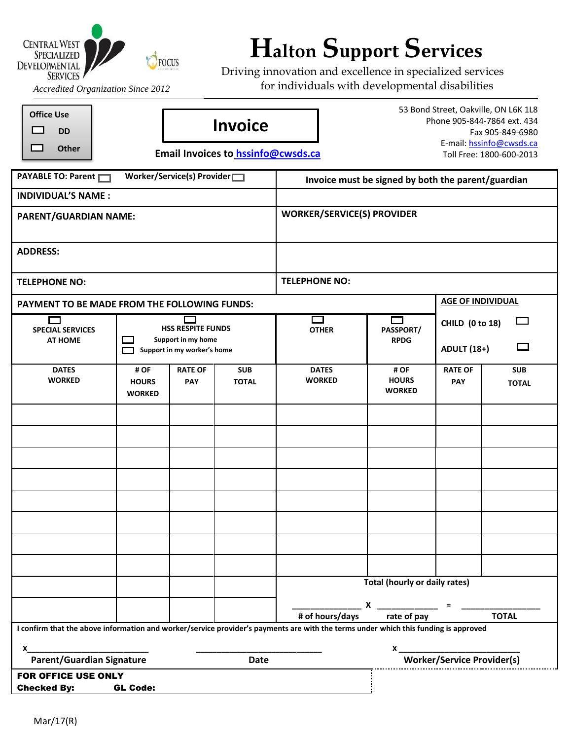

## **Halton Support Services**<br>DEVELOPMENTAL **C** FOCUS **Explores**

Driving innovation and excellence in specialized services for individuals with developmental disabilities

*Accredited Organization Since 2012*

| <b>Office Use</b><br><b>DD</b><br><b>Other</b>                                                                                                                                                                                                                                                   |                                       |                                                | <b>Invoice</b><br>Email Invoices to_hssinfo@cwsds.ca | 53 Bond Street, Oakville, ON L6K 1L8<br>Phone 905-844-7864 ext. 434<br>Fax 905-849-6980<br>E-mail: hssinfo@cwsds.ca<br>Toll Free: 1800-600-2013 |                                                                 |                                                                  |                            |  |
|--------------------------------------------------------------------------------------------------------------------------------------------------------------------------------------------------------------------------------------------------------------------------------------------------|---------------------------------------|------------------------------------------------|------------------------------------------------------|-------------------------------------------------------------------------------------------------------------------------------------------------|-----------------------------------------------------------------|------------------------------------------------------------------|----------------------------|--|
| PAYABLE TO: Parent                                                                                                                                                                                                                                                                               |                                       | Worker/Service(s) Provider                     |                                                      | Invoice must be signed by both the parent/guardian                                                                                              |                                                                 |                                                                  |                            |  |
| <b>INDIVIDUAL'S NAME:</b>                                                                                                                                                                                                                                                                        |                                       |                                                |                                                      |                                                                                                                                                 |                                                                 |                                                                  |                            |  |
| PARENT/GUARDIAN NAME:                                                                                                                                                                                                                                                                            |                                       |                                                |                                                      | <b>WORKER/SERVICE(S) PROVIDER</b>                                                                                                               |                                                                 |                                                                  |                            |  |
| <b>ADDRESS:</b>                                                                                                                                                                                                                                                                                  |                                       |                                                |                                                      |                                                                                                                                                 |                                                                 |                                                                  |                            |  |
| <b>TELEPHONE NO:</b>                                                                                                                                                                                                                                                                             |                                       |                                                |                                                      | <b>TELEPHONE NO:</b>                                                                                                                            |                                                                 |                                                                  |                            |  |
| <b>PAYMENT TO BE MADE FROM THE FOLLOWING FUNDS:</b>                                                                                                                                                                                                                                              |                                       |                                                |                                                      |                                                                                                                                                 |                                                                 | <b>AGE OF INDIVIDUAL</b>                                         |                            |  |
| ┌<br><b>SPECIAL SERVICES</b><br><b>AT HOME</b>                                                                                                                                                                                                                                                   |                                       | <b>HSS RESPITE FUNDS</b><br>Support in my home |                                                      | <b>OTHER</b>                                                                                                                                    | П<br>PASSPORT/<br><b>RPDG</b>                                   | $\sim$<br><b>CHILD (0 to 18)</b><br>$\Box$<br><b>ADULT (18+)</b> |                            |  |
|                                                                                                                                                                                                                                                                                                  |                                       | Support in my worker's home                    |                                                      |                                                                                                                                                 |                                                                 |                                                                  |                            |  |
| <b>DATES</b><br><b>WORKED</b>                                                                                                                                                                                                                                                                    | # OF<br><b>HOURS</b><br><b>WORKED</b> | <b>RATE OF</b><br><b>PAY</b>                   | <b>SUB</b><br><b>TOTAL</b>                           | <b>DATES</b><br><b>WORKED</b>                                                                                                                   | # OF<br><b>HOURS</b><br><b>WORKED</b>                           | <b>RATE OF</b><br><b>PAY</b>                                     | <b>SUB</b><br><b>TOTAL</b> |  |
|                                                                                                                                                                                                                                                                                                  |                                       |                                                |                                                      |                                                                                                                                                 |                                                                 |                                                                  |                            |  |
|                                                                                                                                                                                                                                                                                                  |                                       |                                                |                                                      |                                                                                                                                                 |                                                                 |                                                                  |                            |  |
|                                                                                                                                                                                                                                                                                                  |                                       |                                                |                                                      |                                                                                                                                                 |                                                                 |                                                                  |                            |  |
|                                                                                                                                                                                                                                                                                                  |                                       |                                                |                                                      |                                                                                                                                                 |                                                                 |                                                                  |                            |  |
|                                                                                                                                                                                                                                                                                                  |                                       |                                                |                                                      |                                                                                                                                                 |                                                                 |                                                                  |                            |  |
|                                                                                                                                                                                                                                                                                                  |                                       |                                                |                                                      |                                                                                                                                                 |                                                                 |                                                                  |                            |  |
|                                                                                                                                                                                                                                                                                                  |                                       |                                                |                                                      |                                                                                                                                                 |                                                                 |                                                                  |                            |  |
|                                                                                                                                                                                                                                                                                                  |                                       |                                                |                                                      |                                                                                                                                                 |                                                                 |                                                                  |                            |  |
|                                                                                                                                                                                                                                                                                                  |                                       |                                                |                                                      | <b>Total (hourly or daily rates)</b>                                                                                                            |                                                                 |                                                                  |                            |  |
|                                                                                                                                                                                                                                                                                                  |                                       |                                                |                                                      | # of hours/days                                                                                                                                 | $x \sim$<br>rate of pay                                         |                                                                  | <b>TOTAL</b>               |  |
| I confirm that the above information and worker/service provider's payments are with the terms under which this funding is approved                                                                                                                                                              |                                       |                                                |                                                      |                                                                                                                                                 |                                                                 |                                                                  |                            |  |
| $\mathsf{X}$ and $\mathsf{X}$ and $\mathsf{X}$ and $\mathsf{X}$ and $\mathsf{X}$ are $\mathsf{X}$ and $\mathsf{X}$ and $\mathsf{X}$ are $\mathsf{X}$ and $\mathsf{X}$ are $\mathsf{X}$ and $\mathsf{X}$ are $\mathsf{X}$ and $\mathsf{X}$ are $\mathsf{X}$ and $\mathsf{X}$ are $\mathsf{X}$ and |                                       |                                                |                                                      |                                                                                                                                                 | $x \overline{\phantom{a}}$<br><b>Worker/Service Provider(s)</b> |                                                                  |                            |  |
| <b>Parent/Guardian Signature</b><br><b>Date</b>                                                                                                                                                                                                                                                  |                                       |                                                |                                                      |                                                                                                                                                 |                                                                 |                                                                  |                            |  |
| FOR OFFICE USE ONLY<br><b>Checked By:</b>                                                                                                                                                                                                                                                        | <b>GL Code:</b>                       |                                                |                                                      |                                                                                                                                                 |                                                                 |                                                                  |                            |  |